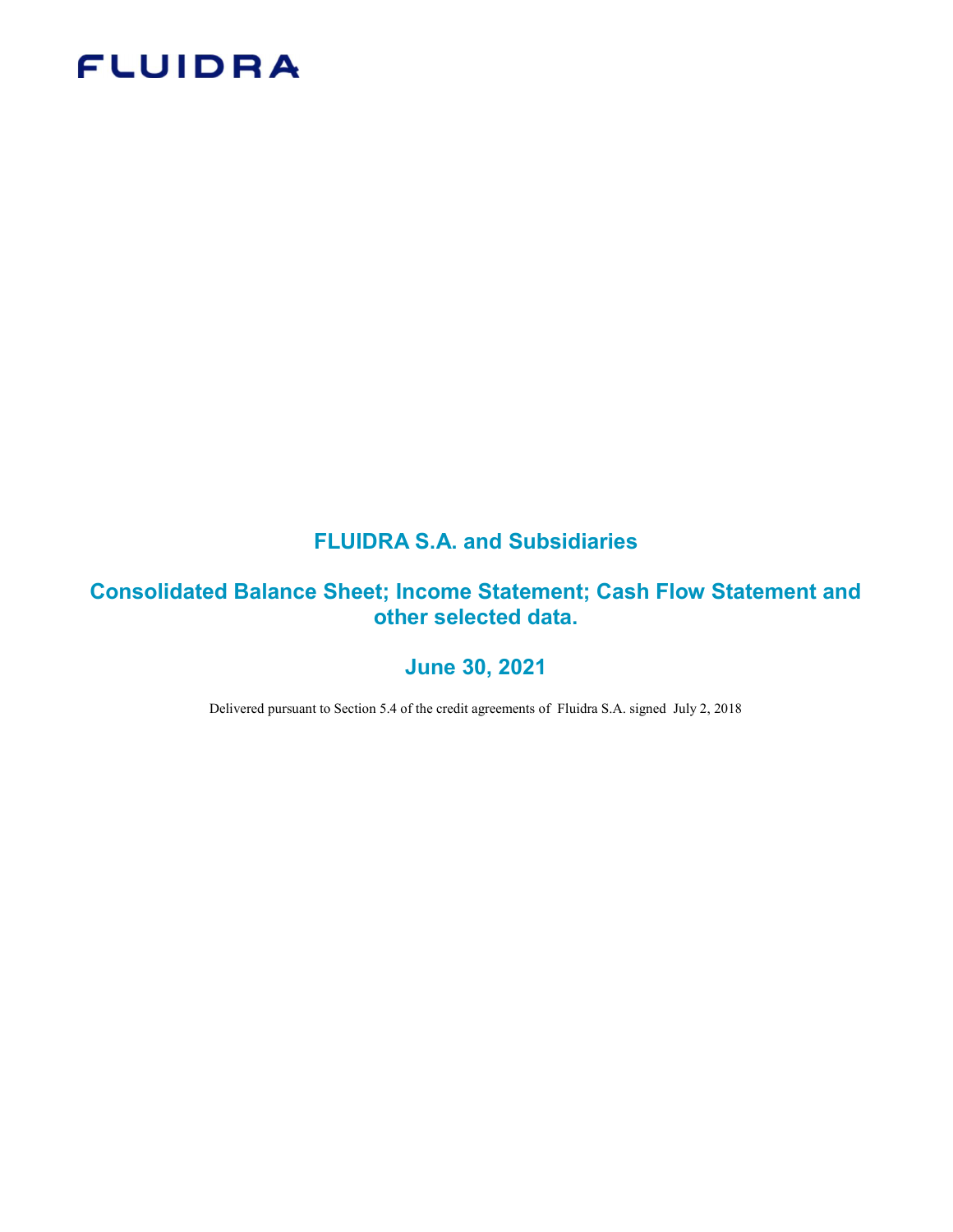# **FLUIDRA**

## FLUIDRA S.A. and Subsidiaries

### Consolidated Balance Sheet; Income Statement; Cash Flow Statement and other selected data.

### June 30, 2021

Delivered pursuant to Section 5.4 of the credit agreements of Fluidra S.A. signed July 2, 2018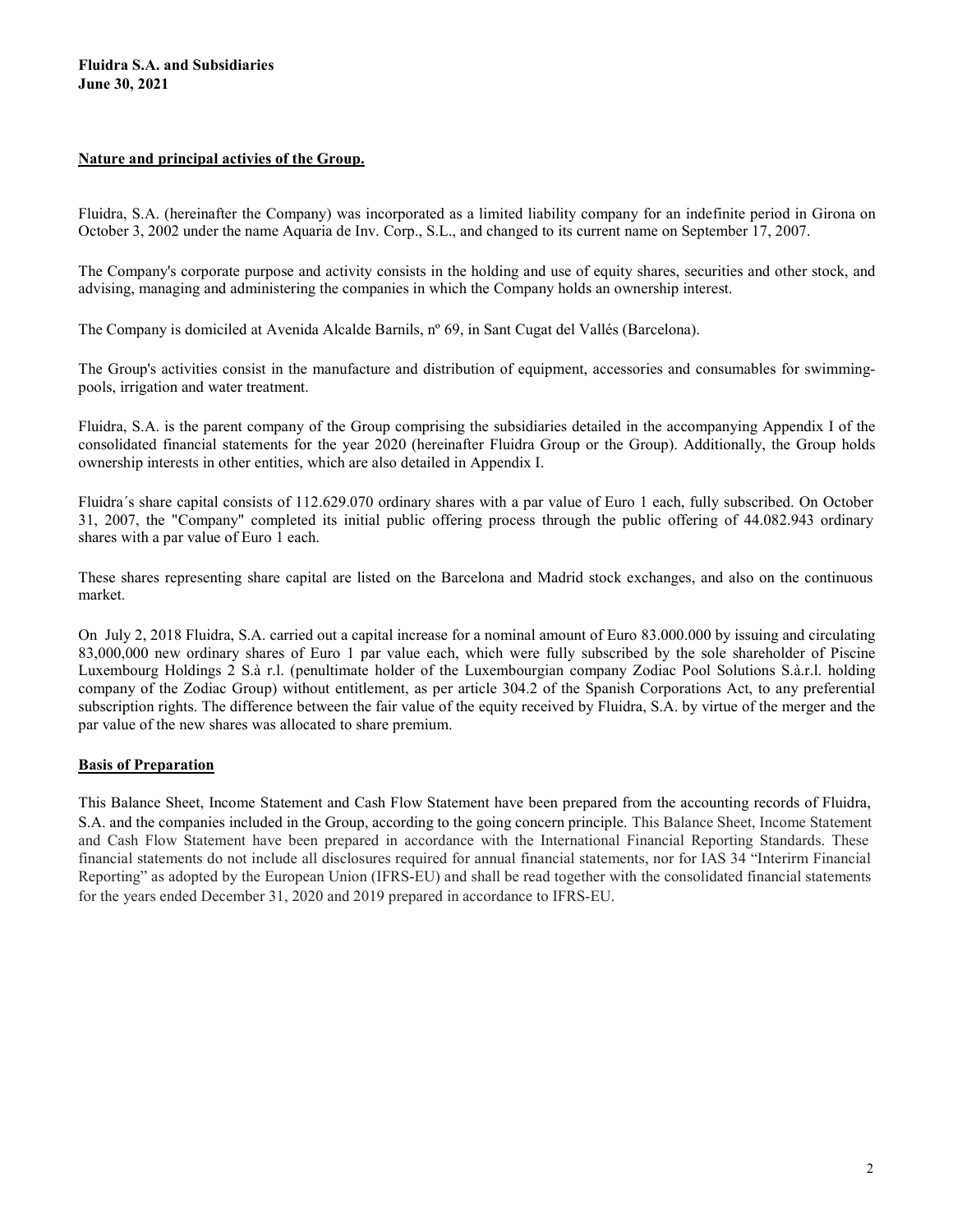#### Nature and principal activies of the Group.

Fluidra, S.A. (hereinafter the Company) was incorporated as a limited liability company for an indefinite period in Girona on October 3, 2002 under the name Aquaria de Inv. Corp., S.L., and changed to its current name on September 17, 2007.

The Company's corporate purpose and activity consists in the holding and use of equity shares, securities and other stock, and advising, managing and administering the companies in which the Company holds an ownership interest.

The Company is domiciled at Avenida Alcalde Barnils, nº 69, in Sant Cugat del Vallés (Barcelona).

The Group's activities consist in the manufacture and distribution of equipment, accessories and consumables for swimmingpools, irrigation and water treatment.

Fluidra, S.A. is the parent company of the Group comprising the subsidiaries detailed in the accompanying Appendix I of the consolidated financial statements for the year 2020 (hereinafter Fluidra Group or the Group). Additionally, the Group holds ownership interests in other entities, which are also detailed in Appendix I.

Fluidra´s share capital consists of 112.629.070 ordinary shares with a par value of Euro 1 each, fully subscribed. On October 31, 2007, the "Company" completed its initial public offering process through the public offering of 44.082.943 ordinary shares with a par value of Euro 1 each.

These shares representing share capital are listed on the Barcelona and Madrid stock exchanges, and also on the continuous market.

On July 2, 2018 Fluidra, S.A. carried out a capital increase for a nominal amount of Euro 83.000.000 by issuing and circulating 83,000,000 new ordinary shares of Euro 1 par value each, which were fully subscribed by the sole shareholder of Piscine Luxembourg Holdings 2 S.à r.l. (penultimate holder of the Luxembourgian company Zodiac Pool Solutions S.à.r.l. holding company of the Zodiac Group) without entitlement, as per article 304.2 of the Spanish Corporations Act, to any preferential subscription rights. The difference between the fair value of the equity received by Fluidra, S.A. by virtue of the merger and the par value of the new shares was allocated to share premium.

#### Basis of Preparation

This Balance Sheet, Income Statement and Cash Flow Statement have been prepared from the accounting records of Fluidra, S.A. and the companies included in the Group, according to the going concern principle. This Balance Sheet, Income Statement and Cash Flow Statement have been prepared in accordance with the International Financial Reporting Standards. These financial statements do not include all disclosures required for annual financial statements, nor for IAS 34 "Interirm Financial Reporting" as adopted by the European Union (IFRS-EU) and shall be read together with the consolidated financial statements for the years ended December 31, 2020 and 2019 prepared in accordance to IFRS-EU.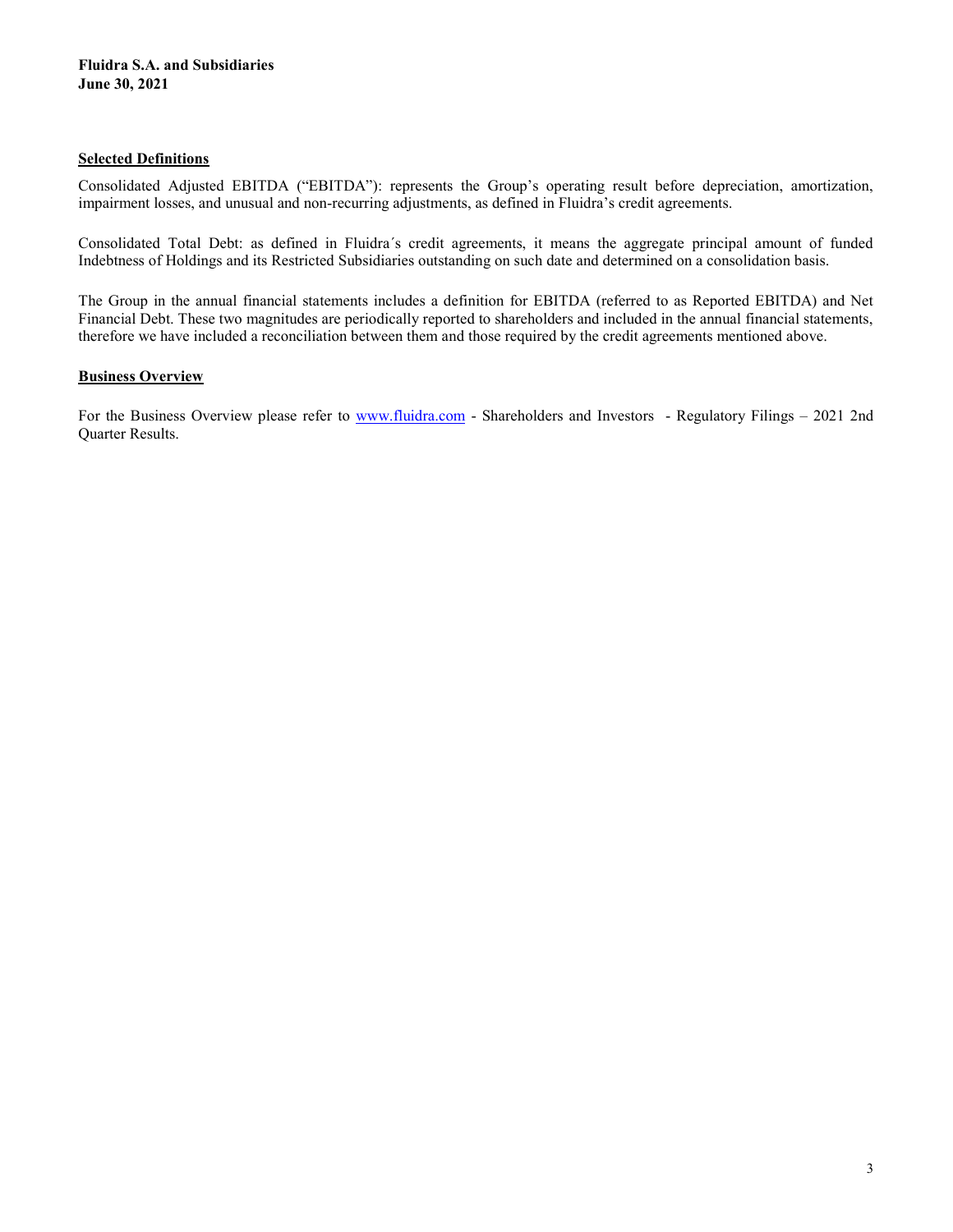#### Selected Definitions

Consolidated Adjusted EBITDA ("EBITDA"): represents the Group's operating result before depreciation, amortization, impairment losses, and unusual and non-recurring adjustments, as defined in Fluidra's credit agreements.

Consolidated Total Debt: as defined in Fluidra´s credit agreements, it means the aggregate principal amount of funded Indebtness of Holdings and its Restricted Subsidiaries outstanding on such date and determined on a consolidation basis.

The Group in the annual financial statements includes a definition for EBITDA (referred to as Reported EBITDA) and Net Financial Debt. These two magnitudes are periodically reported to shareholders and included in the annual financial statements, therefore we have included a reconciliation between them and those required by the credit agreements mentioned above.

#### **Business Overview**

For the Business Overview please refer to www.fluidra.com - Shareholders and Investors - Regulatory Filings – 2021 2nd Quarter Results.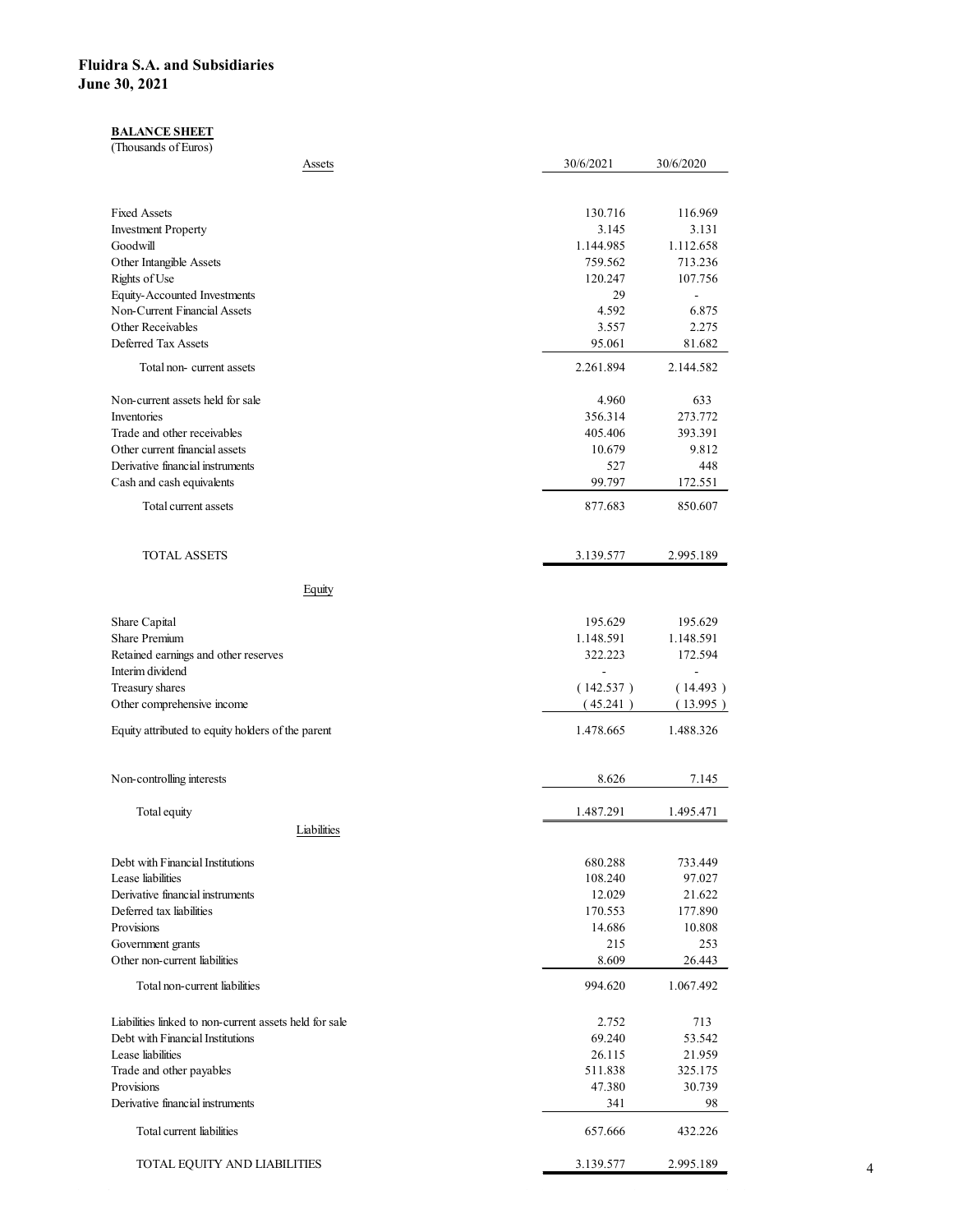#### **BALANCE SHEET**

| idra S.A. and Subsidiaries<br>e 30, 2021                                                   |                       |                            |  |
|--------------------------------------------------------------------------------------------|-----------------------|----------------------------|--|
|                                                                                            |                       |                            |  |
| <b>BALANCE SHEET</b><br>(Thousands of Euros)                                               |                       |                            |  |
| <b>Assets</b>                                                                              | 30/6/2021             | 30/6/2020                  |  |
|                                                                                            |                       |                            |  |
| <b>Fixed Assets</b><br><b>Investment Property</b>                                          | 130.716<br>3.145      | 116.969<br>3.131           |  |
| Goodwill<br>Other Intangible Assets                                                        | 1.144.985<br>759.562  | 1.112.658<br>713.236       |  |
| Rights of Use                                                                              | 120.247               | 107.756                    |  |
| Equity-Accounted Investments<br>Non-Current Financial Assets                               | 29<br>4.592           | $\mathbb{L}^2$<br>6.875    |  |
| Other Receivables<br>Deferred Tax Assets                                                   | 3.557<br>95.061       | 2.275<br>81.682            |  |
| Total non-current assets                                                                   | 2.261.894             | 2.144.582                  |  |
| Non-current assets held for sale                                                           | 4.960                 | 633                        |  |
| Inventories<br>Trade and other receivables                                                 | 356.314<br>405.406    | 273.772<br>393.391         |  |
| Other current financial assets<br>Derivative financial instruments                         | 10.679<br>527         | 9.812<br>448               |  |
| Cash and cash equivalents                                                                  | 99.797                | 172.551                    |  |
| Total current assets                                                                       | 877.683               | 850.607                    |  |
| <b>TOTAL ASSETS</b>                                                                        | 3.139.577             | 2.995.189                  |  |
|                                                                                            |                       |                            |  |
| Equity                                                                                     |                       |                            |  |
| Share Capital<br>Share Premium                                                             | 195.629<br>1.148.591  | 195.629<br>1.148.591       |  |
| Retained earnings and other reserves                                                       | 322.223               | 172.594                    |  |
| Interim dividend<br>Treasury shares                                                        | $\equiv$<br>(142.537) | $\blacksquare$<br>(14.493) |  |
| Other comprehensive income                                                                 | (45.241)              | (13.995)                   |  |
| Equity attributed to equity holders of the parent                                          | 1.478.665             | 1.488.326                  |  |
| Non-controlling interests                                                                  | 8.626                 | 7.145                      |  |
| Total equity                                                                               | 1.487.291             | 1.495.471                  |  |
| Liabilities                                                                                |                       |                            |  |
| Debt with Financial Institutions                                                           | 680.288               | 733.449                    |  |
| Lease liabilities<br>Derivative financial instruments                                      | 108.240<br>12.029     | 97.027<br>21.622           |  |
| Deferred tax liabilities<br>Provisions                                                     | 170.553<br>14.686     | 177.890<br>10.808          |  |
| Government grants                                                                          | 215                   | 253                        |  |
| Other non-current liabilities<br>Total non-current liabilities                             | 8.609<br>994.620      | 26.443<br>1.067.492        |  |
|                                                                                            |                       |                            |  |
| Liabilities linked to non-current assets held for sale<br>Debt with Financial Institutions | 2.752<br>69.240       | 713<br>53.542              |  |
| Lease liabilities                                                                          | 26.115<br>511.838     | 21.959<br>325.175          |  |
| Trade and other payables<br>Provisions                                                     | 47.380                | 30.739                     |  |
| Derivative financial instruments                                                           | 341                   | $98\,$                     |  |
| Total current liabilities                                                                  | 657.666               | 432.226                    |  |
| TOTAL EQUITY AND LIABILITIES                                                               | 3.139.577             | 2.995.189                  |  |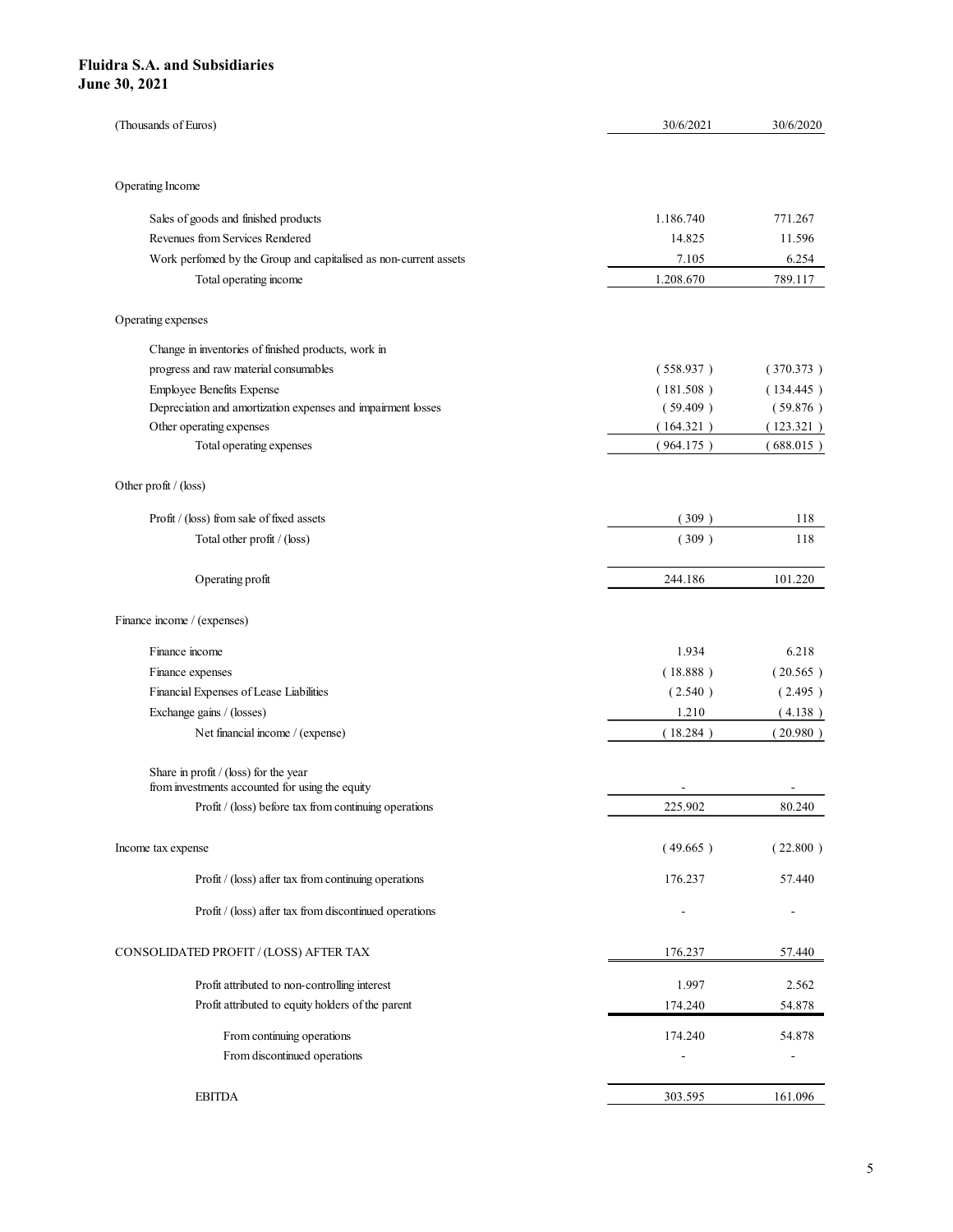| idra S.A. and Subsidiaries                                                               |                       |                          |
|------------------------------------------------------------------------------------------|-----------------------|--------------------------|
|                                                                                          |                       |                          |
|                                                                                          |                       |                          |
|                                                                                          |                       |                          |
|                                                                                          |                       |                          |
|                                                                                          |                       |                          |
|                                                                                          |                       |                          |
|                                                                                          |                       |                          |
|                                                                                          |                       |                          |
|                                                                                          |                       |                          |
| e 30, 2021                                                                               |                       |                          |
|                                                                                          |                       |                          |
| (Thousands of Euros)                                                                     | 30/6/2021             | 30/6/2020                |
|                                                                                          |                       |                          |
|                                                                                          |                       |                          |
| Operating Income                                                                         |                       |                          |
| Sales of goods and finished products                                                     | 1.186.740             | 771.267                  |
| Revenues from Services Rendered                                                          | 14.825                | 11.596                   |
| Work perfomed by the Group and capitalised as non-current assets                         | 7.105                 | 6.254                    |
| Total operating income                                                                   | 1.208.670             | 789.117                  |
|                                                                                          |                       |                          |
| Operating expenses                                                                       |                       |                          |
| Change in inventories of finished products, work in                                      |                       |                          |
| progress and raw material consumables                                                    | (558.937)             | (370.373)                |
| Employee Benefits Expense                                                                | (181.508)             | (134.445)                |
| Depreciation and amortization expenses and impairment losses<br>Other operating expenses | (59.409)<br>(164.321) | (59.876)<br>(123.321)    |
| Total operating expenses                                                                 | (964.175)             | (688.015)                |
|                                                                                          |                       |                          |
| Other profit / (loss)                                                                    |                       |                          |
| Profit / (loss) from sale of fixed assets                                                | (309)                 | 118                      |
| Total other profit / (loss)                                                              | (309)                 | 118                      |
|                                                                                          |                       |                          |
| Operating profit                                                                         | 244.186               | 101.220                  |
|                                                                                          |                       |                          |
| Finance income / (expenses)                                                              |                       |                          |
| Finance income                                                                           | 1.934                 | 6.218                    |
| Finance expenses                                                                         | (18.888)              | (20.565)                 |
| Financial Expenses of Lease Liabilities                                                  | (2.540)               | (2.495)                  |
| Exchange gains / (losses)                                                                | 1.210                 | (4.138)                  |
| Net financial income / (expense)                                                         | (18.284)              | (20.980)                 |
|                                                                                          |                       |                          |
| Share in profit / (loss) for the year<br>from investments accounted for using the equity | $\sim$                | $\sim$                   |
| Profit / (loss) before tax from continuing operations                                    | 225.902               | 80.240                   |
|                                                                                          |                       |                          |
| Income tax expense                                                                       | (49.665)              | (22.800)                 |
| Profit / (loss) after tax from continuing operations                                     | 176.237               | 57.440                   |
|                                                                                          |                       |                          |
| Profit / (loss) after tax from discontinued operations                                   | $\sim$                | $\sim$                   |
| CONSOLIDATED PROFIT / (LOSS) AFTER TAX                                                   | 176.237               | 57.440                   |
| Profit attributed to non-controlling interest                                            | 1.997                 | 2.562                    |
| Profit attributed to equity holders of the parent                                        | 174.240               | 54.878                   |
|                                                                                          |                       |                          |
| From continuing operations<br>From discontinued operations                               | 174.240<br>۰          | 54.878                   |
|                                                                                          |                       | $\overline{\phantom{a}}$ |
|                                                                                          |                       |                          |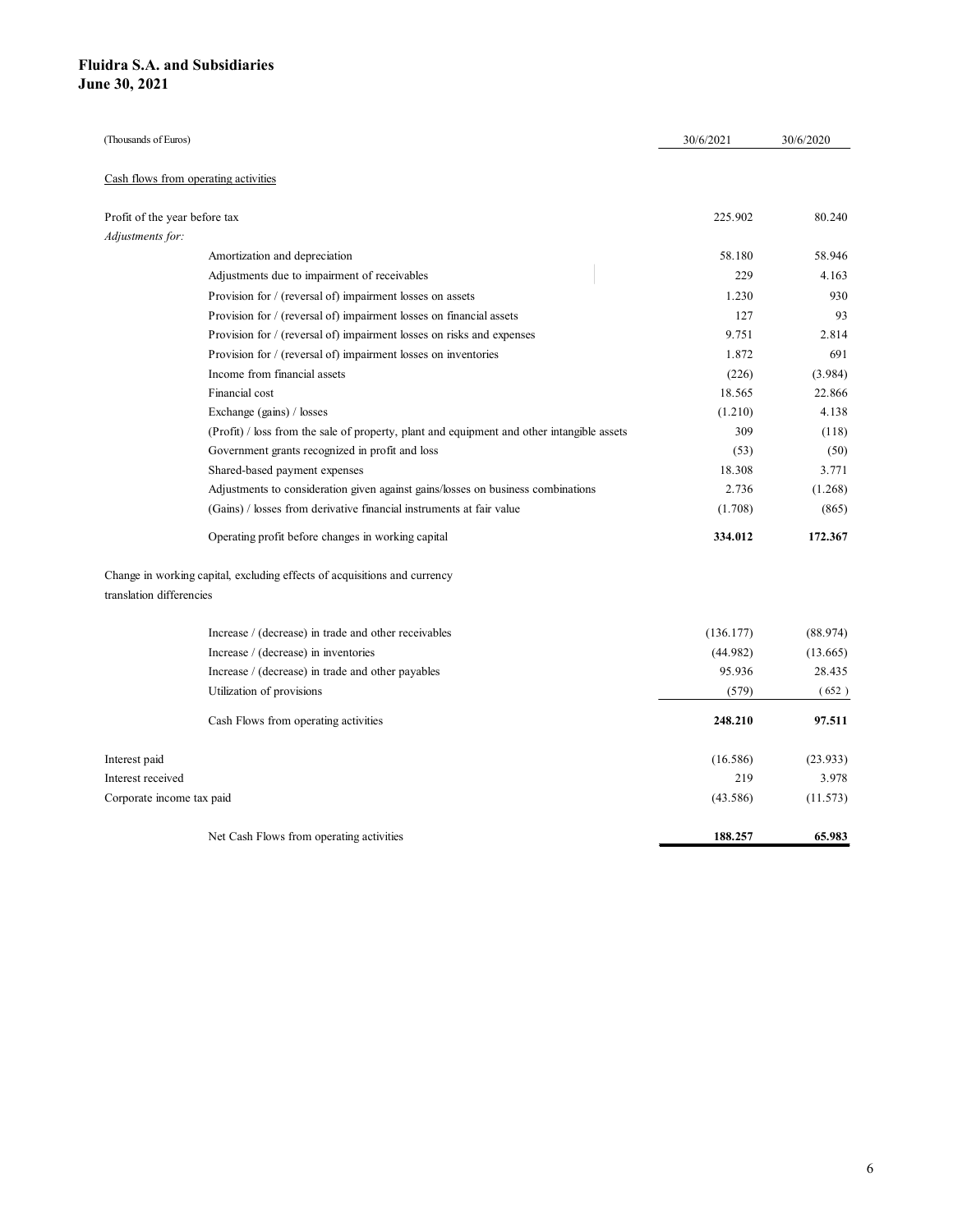| uidra S.A. and Subsidiaries          |                                                                                              |           |           |
|--------------------------------------|----------------------------------------------------------------------------------------------|-----------|-----------|
| ne 30, 2021                          |                                                                                              |           |           |
|                                      |                                                                                              |           |           |
|                                      |                                                                                              |           |           |
| (Thousands of Euros)                 |                                                                                              | 30/6/2021 | 30/6/2020 |
|                                      |                                                                                              |           |           |
| Cash flows from operating activities |                                                                                              |           |           |
| Profit of the year before tax        |                                                                                              | 225.902   | 80.240    |
| Adjustments for:                     |                                                                                              |           |           |
|                                      | Amortization and depreciation                                                                | 58.180    | 58.946    |
|                                      | Adjustments due to impairment of receivables                                                 | 229       | 4.163     |
|                                      | Provision for / (reversal of) impairment losses on assets                                    | 1.230     | 930       |
|                                      | Provision for / (reversal of) impairment losses on financial assets                          | 127       | 93        |
|                                      | Provision for / (reversal of) impairment losses on risks and expenses                        | 9.751     | 2.814     |
|                                      | Provision for / (reversal of) impairment losses on inventories                               | 1.872     | 691       |
|                                      | Income from financial assets                                                                 | (226)     | (3.984)   |
|                                      | Financial cost                                                                               | 18.565    | 22.866    |
|                                      | Exchange (gains) / losses                                                                    | (1.210)   | 4.138     |
|                                      | $(Profit)$ / loss from the sale of property, plant and equipment and other intangible assets | 309       | (118)     |
|                                      | Government grants recognized in profit and loss                                              | (53)      | (50)      |
|                                      | Shared-based payment expenses                                                                | 18.308    | 3.771     |
|                                      | Adjustments to consideration given against gains/losses on business combinations             | 2.736     | (1.268)   |
|                                      | (Gains) / losses from derivative financial instruments at fair value                         | (1.708)   | (865)     |
|                                      | Operating profit before changes in working capital                                           | 334.012   | 172.367   |
|                                      | Change in working capital, excluding effects of acquisitions and currency                    |           |           |
| translation differencies             |                                                                                              |           |           |
|                                      | Increase / (decrease) in trade and other receivables                                         | (136.177) | (88.974)  |
|                                      | Increase / (decrease) in inventories                                                         | (44.982)  | (13.665)  |
|                                      | Increase / (decrease) in trade and other payables                                            | 95.936    | 28.435    |
|                                      | Utilization of provisions                                                                    | (579)     | (652)     |
|                                      |                                                                                              |           |           |
|                                      | Cash Flows from operating activities                                                         | 248.210   | 97.511    |
| Interest paid                        |                                                                                              | (16.586)  | (23.933)  |
| Interest received                    |                                                                                              | 219       | 3.978     |
|                                      |                                                                                              | (43.586)  | (11.573)  |
|                                      |                                                                                              |           |           |
| Corporate income tax paid            | Net Cash Flows from operating activities                                                     | 188.257   | 65.983    |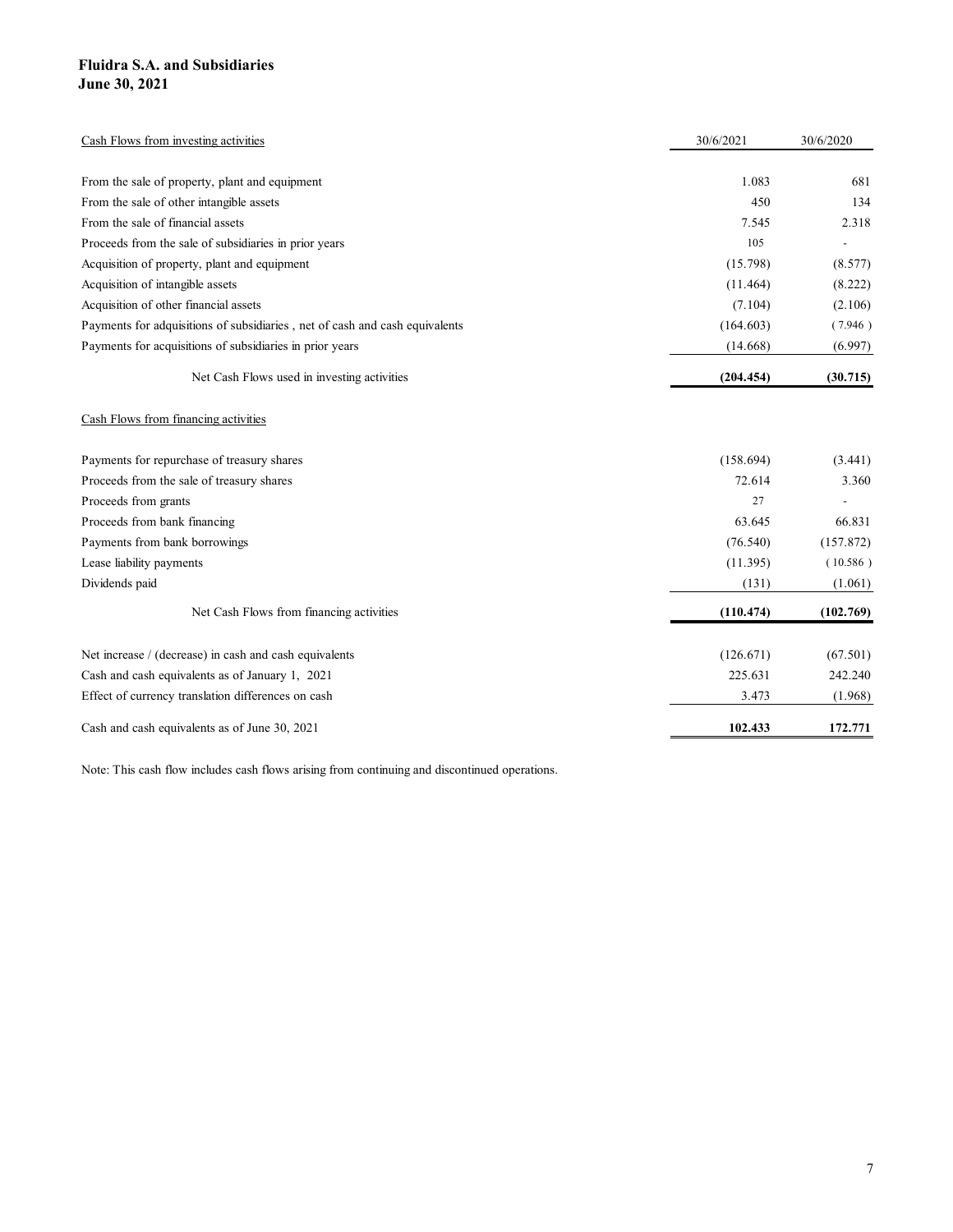| <b>Fluidra S.A. and Subsidiaries</b><br>June 30, 2021                       |           |                          |
|-----------------------------------------------------------------------------|-----------|--------------------------|
|                                                                             |           |                          |
|                                                                             |           |                          |
| Cash Flows from investing activities                                        | 30/6/2021 | 30/6/2020                |
| From the sale of property, plant and equipment                              | 1.083     | 681                      |
| From the sale of other intangible assets                                    | 450       | 134                      |
| From the sale of financial assets                                           | 7.545     | 2.318                    |
| Proceeds from the sale of subsidiaries in prior years                       | 105       | $\sim$                   |
| Acquisition of property, plant and equipment                                | (15.798)  | (8.577)                  |
| Acquisition of intangible assets                                            | (11.464)  | (8.222)                  |
| Acquisition of other financial assets                                       | (7.104)   | (2.106)                  |
| Payments for adquisitions of subsidiaries, net of cash and cash equivalents | (164.603) | (7.946)                  |
| Payments for acquisitions of subsidiaries in prior years                    | (14.668)  | (6.997)                  |
| Net Cash Flows used in investing activities                                 | (204.454) | (30.715)                 |
|                                                                             |           |                          |
| Cash Flows from financing activities                                        |           |                          |
| Payments for repurchase of treasury shares                                  | (158.694) | (3.441)                  |
| Proceeds from the sale of treasury shares                                   | 72.614    | 3.360                    |
| Proceeds from grants                                                        | 27        | $\overline{\phantom{a}}$ |
| Proceeds from bank financing                                                | 63.645    | 66.831                   |
| Payments from bank borrowings                                               | (76.540)  | (157.872)                |
| Lease liability payments                                                    | (11.395)  | (10.586)                 |
| Dividends paid                                                              | (131)     | (1.061)                  |
| Net Cash Flows from financing activities                                    | (110.474) | (102.769)                |
| Net increase / (decrease) in cash and cash equivalents                      | (126.671) | (67.501)                 |
| Cash and cash equivalents as of January 1, 2021                             | 225.631   | 242.240                  |
| Effect of currency translation differences on cash                          | 3.473     | (1.968)                  |
|                                                                             |           |                          |
| Cash and cash equivalents as of June 30, 2021                               | 102.433   | 172.771                  |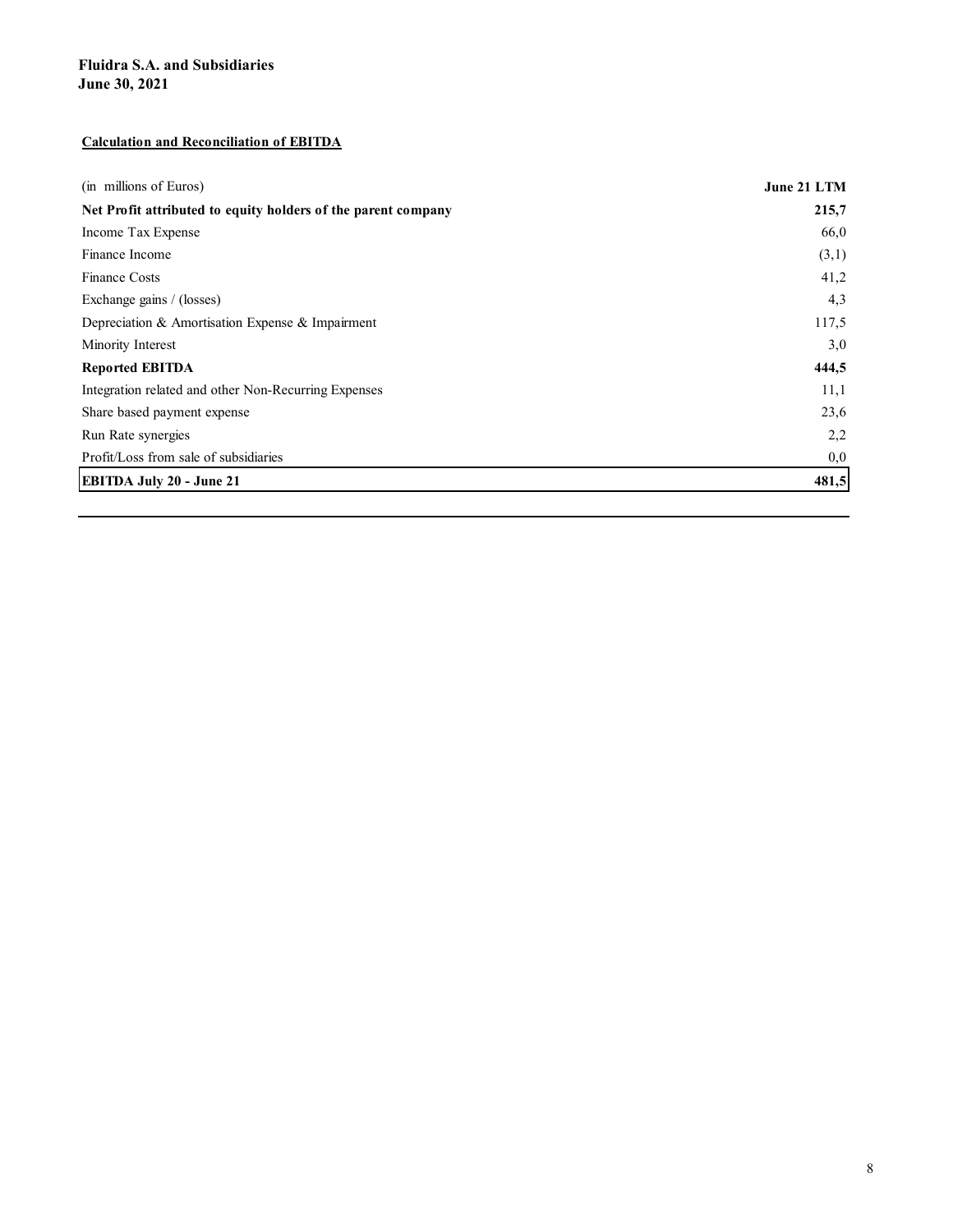#### Calculation and Reconciliation of EBITDA

| <b>Fluidra S.A. and Subsidiaries</b><br>June 30, 2021         |             |
|---------------------------------------------------------------|-------------|
|                                                               |             |
|                                                               |             |
|                                                               |             |
|                                                               |             |
|                                                               |             |
|                                                               |             |
|                                                               |             |
| <b>Calculation and Reconciliation of EBITDA</b>               |             |
|                                                               |             |
| (in millions of Euros)                                        | June 21 LTM |
| Net Profit attributed to equity holders of the parent company | 215,7       |
| Income Tax Expense                                            | 66,0        |
| Finance Income                                                | (3,1)       |
| Finance Costs                                                 | 41,2        |
| Exchange gains / (losses)                                     | 4,3         |
| Depreciation & Amortisation Expense & Impairment              | 117,5       |
| Minority Interest                                             | 3,0         |
| <b>Reported EBITDA</b>                                        | 444,5       |
| Integration related and other Non-Recurring Expenses          | 11,1        |
| Share based payment expense                                   | 23,6        |
| Run Rate synergies                                            | 2,2         |
| Profit/Loss from sale of subsidiaries                         | 0,0         |
| EBITDA July 20 - June 21                                      | 481,5       |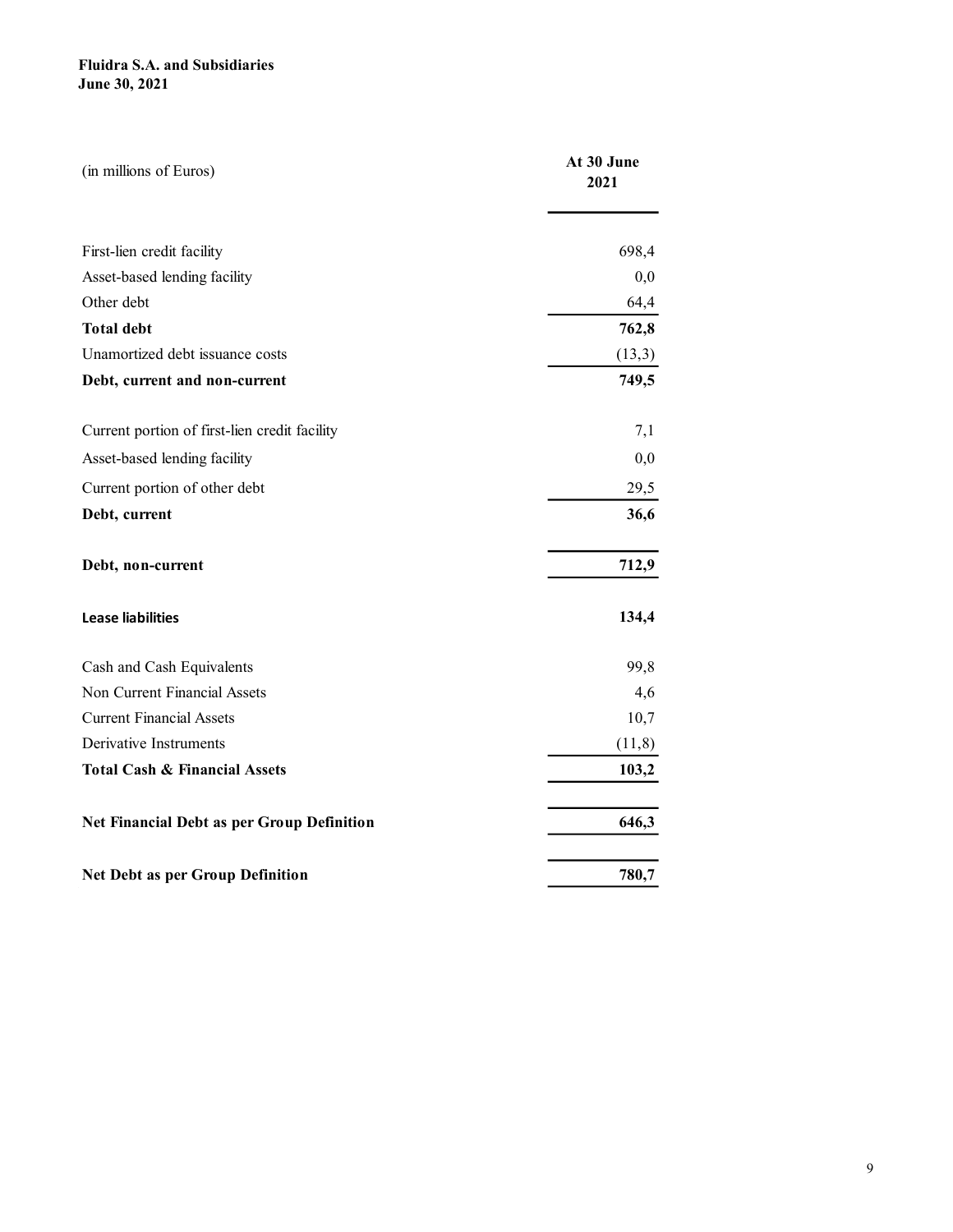| (in millions of Euros)                        | At 30 June<br>2021 |
|-----------------------------------------------|--------------------|
|                                               |                    |
| First-lien credit facility                    | 698,4              |
| Asset-based lending facility                  | 0,0                |
| Other debt                                    | 64,4               |
| <b>Total debt</b>                             | 762,8              |
| Unamortized debt issuance costs               | (13,3)             |
| Debt, current and non-current                 | 749,5              |
| Current portion of first-lien credit facility | 7,1                |
| Asset-based lending facility                  | 0,0                |
| Current portion of other debt                 | 29,5               |
| Debt, current                                 | 36,6               |
| Debt, non-current                             | 712,9              |
| <b>Lease liabilities</b>                      | 134,4              |
| Cash and Cash Equivalents                     | 99,8               |
| Non Current Financial Assets                  | 4,6                |
| <b>Current Financial Assets</b>               | 10,7               |
| Derivative Instruments                        | (11,8)             |
| <b>Total Cash &amp; Financial Assets</b>      | 103,2              |
| Net Financial Debt as per Group Definition    | 646,3              |
| Net Debt as per Group Definition              | 780,7              |